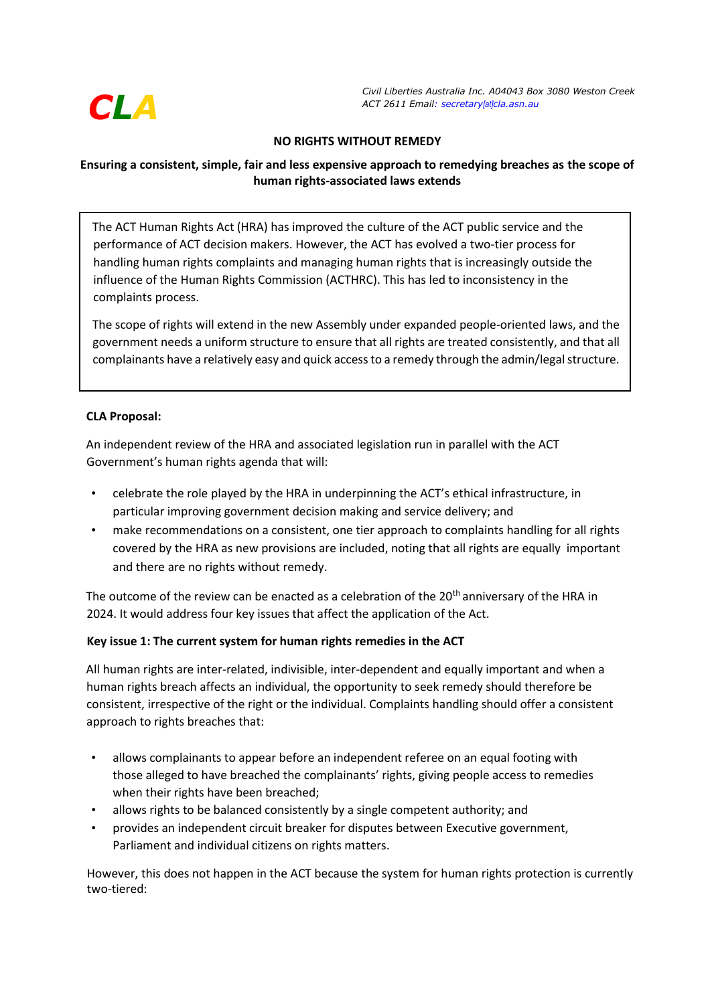

*Civil Liberties Australia Inc. A04043 Box 3080 Weston Creek ACT 2611 Email: secretary[at]cla.asn.au*

## **NO RIGHTS WITHOUT REMEDY**

# **Ensuring a consistent, simple, fair and less expensive approach to remedying breaches as the scope of human rights-associated laws extends**

The ACT Human Rights Act (HRA) has improved the culture of the ACT public service and the performance of ACT decision makers. However, the ACT has evolved a two-tier process for handling human rights complaints and managing human rights that is increasingly outside the influence of the Human Rights Commission (ACTHRC). This has led to inconsistency in the complaints process.

The scope of rights will extend in the new Assembly under expanded people-oriented laws, and the government needs a uniform structure to ensure that all rights are treated consistently, and that all complainants have a relatively easy and quick access to a remedy through the admin/legal structure.

## **CLA Proposal:**

An independent review of the HRA and associated legislation run in parallel with the ACT Government's human rights agenda that will:

- celebrate the role played by the HRA in underpinning the ACT's ethical infrastructure, in particular improving government decision making and service delivery; and
- make recommendations on a consistent, one tier approach to complaints handling for all rights covered by the HRA as new provisions are included, noting that all rights are equally important and there are no rights without remedy.

The outcome of the review can be enacted as a celebration of the 20<sup>th</sup> anniversary of the HRA in 2024. It would address four key issues that affect the application of the Act.

#### **Key issue 1: The current system for human rights remedies in the ACT**

All human rights are inter-related, indivisible, inter-dependent and equally important and when a human rights breach affects an individual, the opportunity to seek remedy should therefore be consistent, irrespective of the right or the individual. Complaints handling should offer a consistent approach to rights breaches that:

- allows complainants to appear before an independent referee on an equal footing with those alleged to have breached the complainants' rights, giving people access to remedies when their rights have been breached;
- allows rights to be balanced consistently by a single competent authority; and
- provides an independent circuit breaker for disputes between Executive government, Parliament and individual citizens on rights matters.

However, this does not happen in the ACT because the system for human rights protection is currently two-tiered: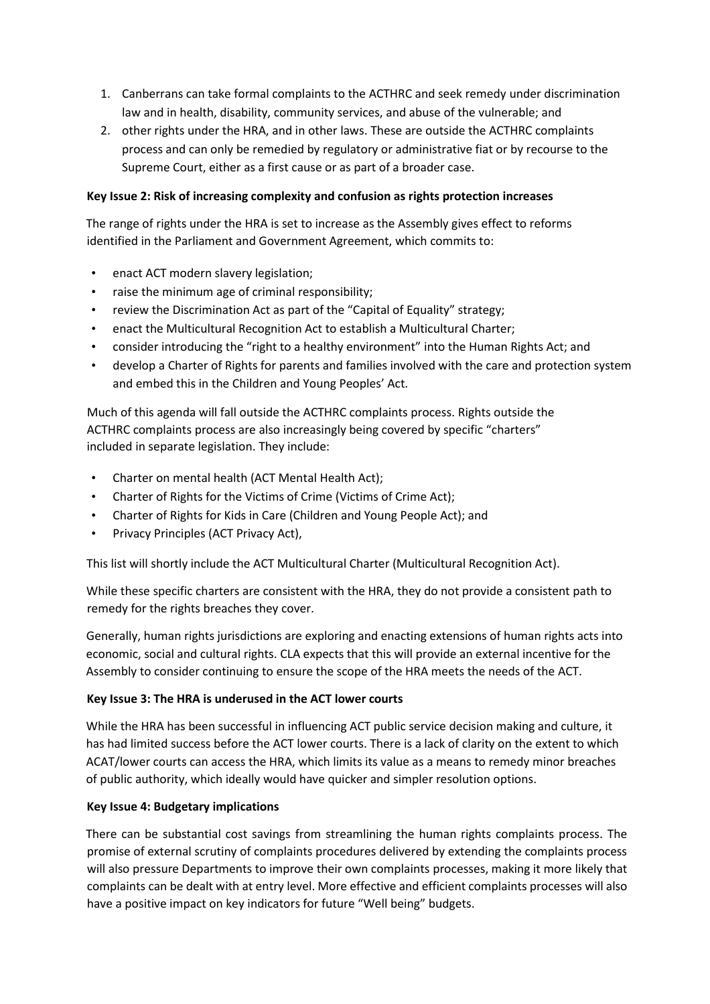- 1. Canberrans can take formal complaints to the ACTHRC and seek remedy under discrimination law and in health, disability, community services, and abuse of the vulnerable; and
- 2. other rights under the HRA, and in other laws. These are outside the ACTHRC complaints process and can only be remedied by regulatory or administrative fiat or by recourse to the Supreme Court, either as a first cause or as part of a broader case.

# **Key Issue 2: Risk of increasing complexity and confusion as rights protection increases**

The range of rights under the HRA is set to increase as the Assembly gives effect to reforms identified in the Parliament and Government Agreement, which commits to:

- enact ACT modern slavery legislation;
- raise the minimum age of criminal responsibility;
- review the Discrimination Act as part of the "Capital of Equality" strategy;
- enact the Multicultural Recognition Act to establish a Multicultural Charter;
- consider introducing the "right to a healthy environment" into the Human Rights Act; and
- develop a Charter of Rights for parents and families involved with the care and protection system and embed this in the Children and Young Peoples' Act.

Much of this agenda will fall outside the ACTHRC complaints process. Rights outside the ACTHRC complaints process are also increasingly being covered by specific "charters" included in separate legislation. They include:

- Charter on mental health (ACT Mental Health Act);
- Charter of Rights for the Victims of Crime (Victims of Crime Act);
- Charter of Rights for Kids in Care (Children and Young People Act); and
- Privacy Principles (ACT Privacy Act),

This list will shortly include the ACT Multicultural Charter (Multicultural Recognition Act).

While these specific charters are consistent with the HRA, they do not provide a consistent path to remedy for the rights breaches they cover.

Generally, human rights jurisdictions are exploring and enacting extensions of human rights acts into economic, social and cultural rights. CLA expects that this will provide an external incentive for the Assembly to consider continuing to ensure the scope of the HRA meets the needs of the ACT.

# **Key Issue 3: The HRA is underused in the ACT lower courts**

While the HRA has been successful in influencing ACT public service decision making and culture, it has had limited success before the ACT lower courts. There is a lack of clarity on the extent to which ACAT/lower courts can access the HRA, which limits its value as a means to remedy minor breaches of public authority, which ideally would have quicker and simpler resolution options.

# **Key Issue 4: Budgetary implications**

There can be substantial cost savings from streamlining the human rights complaints process. The promise of external scrutiny of complaints procedures delivered by extending the complaints process will also pressure Departments to improve their own complaints processes, making it more likely that complaints can be dealt with at entry level. More effective and efficient complaints processes will also have a positive impact on key indicators for future "Well being" budgets.